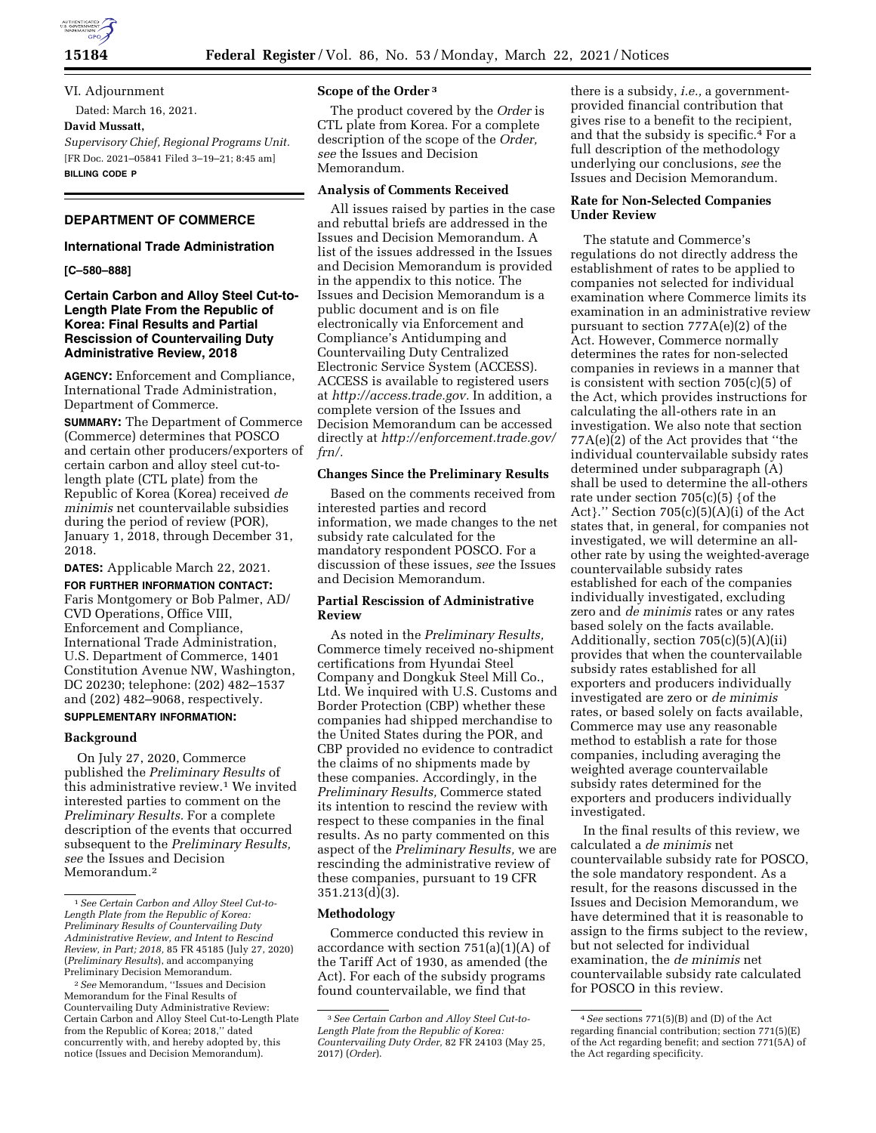

**15184 Federal Register** / Vol. 86, No. 53 / Monday, March 22, 2021 / Notices

VI. Adjournment Dated: March 16, 2021.

**David Mussatt,** 

*Supervisory Chief, Regional Programs Unit.*  [FR Doc. 2021–05841 Filed 3–19–21; 8:45 am] **BILLING CODE P** 

## **DEPARTMENT OF COMMERCE**

# **International Trade Administration**

### **[C–580–888]**

## **Certain Carbon and Alloy Steel Cut-to-Length Plate From the Republic of Korea: Final Results and Partial Rescission of Countervailing Duty Administrative Review, 2018**

**AGENCY:** Enforcement and Compliance, International Trade Administration, Department of Commerce.

**SUMMARY:** The Department of Commerce (Commerce) determines that POSCO and certain other producers/exporters of certain carbon and alloy steel cut-tolength plate (CTL plate) from the Republic of Korea (Korea) received *de minimis* net countervailable subsidies during the period of review (POR), January 1, 2018, through December 31, 2018.

**DATES:** Applicable March 22, 2021.

**FOR FURTHER INFORMATION CONTACT:**  Faris Montgomery or Bob Palmer, AD/ CVD Operations, Office VIII, Enforcement and Compliance, International Trade Administration, U.S. Department of Commerce, 1401 Constitution Avenue NW, Washington, DC 20230; telephone: (202) 482–1537 and (202) 482–9068, respectively.

### **SUPPLEMENTARY INFORMATION:**

## **Background**

On July 27, 2020, Commerce published the *Preliminary Results* of this administrative review.<sup>1</sup> We invited interested parties to comment on the *Preliminary Results.* For a complete description of the events that occurred subsequent to the *Preliminary Results, see* the Issues and Decision Memorandum.2

## **Scope of the Order 3**

The product covered by the *Order* is CTL plate from Korea. For a complete description of the scope of the *Order, see* the Issues and Decision Memorandum.

## **Analysis of Comments Received**

All issues raised by parties in the case and rebuttal briefs are addressed in the Issues and Decision Memorandum. A list of the issues addressed in the Issues and Decision Memorandum is provided in the appendix to this notice. The Issues and Decision Memorandum is a public document and is on file electronically via Enforcement and Compliance's Antidumping and Countervailing Duty Centralized Electronic Service System (ACCESS). ACCESS is available to registered users at *[http://access.trade.gov.](http://access.trade.gov)* In addition, a complete version of the Issues and Decision Memorandum can be accessed directly at *[http://enforcement.trade.gov/](http://enforcement.trade.gov/frn/)  [frn/.](http://enforcement.trade.gov/frn/)* 

### **Changes Since the Preliminary Results**

Based on the comments received from interested parties and record information, we made changes to the net subsidy rate calculated for the mandatory respondent POSCO. For a discussion of these issues, *see* the Issues and Decision Memorandum.

## **Partial Rescission of Administrative Review**

As noted in the *Preliminary Results,*  Commerce timely received no-shipment certifications from Hyundai Steel Company and Dongkuk Steel Mill Co., Ltd. We inquired with U.S. Customs and Border Protection (CBP) whether these companies had shipped merchandise to the United States during the POR, and CBP provided no evidence to contradict the claims of no shipments made by these companies. Accordingly, in the *Preliminary Results,* Commerce stated its intention to rescind the review with respect to these companies in the final results. As no party commented on this aspect of the *Preliminary Results,* we are rescinding the administrative review of these companies, pursuant to 19 CFR 351.213(d)(3).

## **Methodology**

Commerce conducted this review in accordance with section 751(a)(1)(A) of the Tariff Act of 1930, as amended (the Act). For each of the subsidy programs found countervailable, we find that

there is a subsidy, *i.e.,* a governmentprovided financial contribution that gives rise to a benefit to the recipient, and that the subsidy is specific.4 For a full description of the methodology underlying our conclusions, *see* the Issues and Decision Memorandum.

## **Rate for Non-Selected Companies Under Review**

The statute and Commerce's regulations do not directly address the establishment of rates to be applied to companies not selected for individual examination where Commerce limits its examination in an administrative review pursuant to section 777A(e)(2) of the Act. However, Commerce normally determines the rates for non-selected companies in reviews in a manner that is consistent with section 705(c)(5) of the Act, which provides instructions for calculating the all-others rate in an investigation. We also note that section 77A(e)(2) of the Act provides that ''the individual countervailable subsidy rates determined under subparagraph (A) shall be used to determine the all-others rate under section  $705(c)(5)$  {of the Act}.'' Section 705(c)(5)(A)(i) of the Act states that, in general, for companies not investigated, we will determine an allother rate by using the weighted-average countervailable subsidy rates established for each of the companies individually investigated, excluding zero and *de minimis* rates or any rates based solely on the facts available. Additionally, section 705(c)(5)(A)(ii) provides that when the countervailable subsidy rates established for all exporters and producers individually investigated are zero or *de minimis*  rates, or based solely on facts available, Commerce may use any reasonable method to establish a rate for those companies, including averaging the weighted average countervailable subsidy rates determined for the exporters and producers individually investigated.

In the final results of this review, we calculated a *de minimis* net countervailable subsidy rate for POSCO, the sole mandatory respondent. As a result, for the reasons discussed in the Issues and Decision Memorandum, we have determined that it is reasonable to assign to the firms subject to the review, but not selected for individual examination, the *de minimis* net countervailable subsidy rate calculated for POSCO in this review.

<sup>1</sup>*See Certain Carbon and Alloy Steel Cut-to-Length Plate from the Republic of Korea: Preliminary Results of Countervailing Duty Administrative Review, and Intent to Rescind Review, in Part; 2018,* 85 FR 45185 (July 27, 2020) (*Preliminary Results*), and accompanying Preliminary Decision Memorandum.

<sup>2</sup>*See* Memorandum, ''Issues and Decision Memorandum for the Final Results of Countervailing Duty Administrative Review: Certain Carbon and Alloy Steel Cut-to-Length Plate from the Republic of Korea; 2018,'' dated concurrently with, and hereby adopted by, this notice (Issues and Decision Memorandum).

<sup>3</sup>*See Certain Carbon and Alloy Steel Cut-to-Length Plate from the Republic of Korea: Countervailing Duty Order,* 82 FR 24103 (May 25, 2017) (*Order*).

<sup>4</sup>*See* sections 771(5)(B) and (D) of the Act regarding financial contribution; section 771(5)(E) of the Act regarding benefit; and section 771(5A) of the Act regarding specificity.